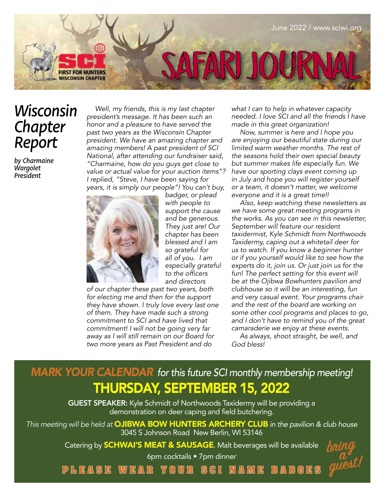

## *Wisconsin Chapter Report*

*by Charmaine Wargolet President* 

*Well, my friends, this is my last chapter president's message. It has been such an honor and a pleasure to have served the past two years as the Wisconsin Chapter president. We have an amazing chapter and amazing members! A past president of SCI National, after attending our fundraiser said, "Charmaine, how do you guys get close to value or actual value for your auction items"? I replied, "Steve, I have been saying for years, it is simply our people"! You can't buy,* 



*badger, or plead with people to support the cause and be generous. They just are! Our chapter has been blessed and I am so grateful for all of you. I am especially grateful*  to the officers *and directors* 

*of our chapter these past two years, both for electing me and then for the support they have shown. I truly love every last one of them. They have made such a strong commitment to SCI and have lived that commitment! I will not be going very far away as I will still remain on our Board for two more years as Past President and do* 

*what I can to help in whatever capacity needed. I love SCI and all the friends I have made in this great organization!*

*Now, summer is here and I hope you are enjoying our beautiful state during our limited warm weather months. The rest of the seasons hold their own special beauty but summer makes life especially fun. We have our sporting clays event coming up in July and hope you will register yourself or a team, it doesn't matter, we welcome everyone and it is a great time!!* 

*Also, keep watching these newsletters as we have some great meeting programs in the works. As you can see in this newsletter, September will feature our resident taxidermist, Kyle Schmidt from Northwoods Taxidermy, caping out a whitetail deer for us to watch. If you know a beginner hunter or if you yourself would like to see how the experts do it, join us. Or just join us for the fun! The perfect setting for this event will be at the Ojibwa Bowhunters pavilion and clubhouse so it will be an interesting, fun and very casual event. Your programs chair and the rest of the board are working on some other cool programs and places to go, and I don't have to remind you of the great camaraderie we enjoy at these events.*

*As always, shoot straight, be well, and God bless!*

## *MARK YOUR CALENDAR for this future SCI monthly membership meeting!* THURSDAY, SEPTEMBER 15, 2022

GUEST SPEAKER: Kyle Schmidt of Northwoods Taxidermy will be providing a demonstration on deer caping and field butchering.

*This meeting will be held at* OJIBWA BOW HUNTERS ARCHERY CLUB *in the pavilion & club house* 3045 S Johnson Road New Berlin, WI 53146

Catering by **SCHWAI'S MEAT & SAUSAGE**. Malt beverages will be available

6pm cocktails • 7pm dinner

bring a guest!

**PLEASE WEAR YOUR SCI NAME BADGES**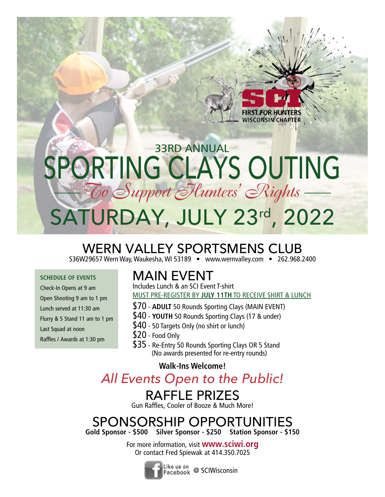## SATURDAY, JULY 23rd, 2022 33RD ANNUAL PORTING CLAYS OUTING  $-$ *Co Support Hunters' Rights* -

## WERN VALLEY SPORTSMENS CLUB

S36W29657 Wern Way, Waukesha, WI 53189 • www.wernvalley.com • 262.968.2400

#### **SCHEDULE OF EVENTS**

Check-In Opens at 9 am Open Shooting 9 am to 1 pm Lunch served at 11:30 am Flurry & 5 Stand 11 am to 1 pm Last Squad at noon Raffles / Awards at 1:30 pm

## MAIN EVENT

Includes Lunch & an SCI Event T-shirt MUST PRE-REGISTER BY **JULY 11TH** TO RECEIVE SHIRT & LUNCH

**WISCONSIN CHAPTER** 

- \$70 **ADULT** 50 Rounds Sporting Clays (MAIN EVENT)
- \$40 **YOUTH** 50 Rounds Sporting Clays (17 & under)
- \$40 50 Targets Only (no shirt or lunch)
- \$20 Food Only
- \$35 Re-Entry 50 Rounds Sporting Clays OR 5 Stand (No awards presented for re-entry rounds)

#### **Walk-Ins Welcome!**

*All Events Open to the Public!* 

## RAFFLE PRIZES

Gun Raffles, Cooler of Booze & Much More!

### SPONSORSHIP OPPORTUNITIES **Gold Sponsor - \$500 Silver Sponsor - \$250 Station Sponsor - \$150**

For more information, visit **www.sciwi.org** Or contact Fred Spiewak at 414.350.7025



Like us on<br>Facebook @ SCIWisconsin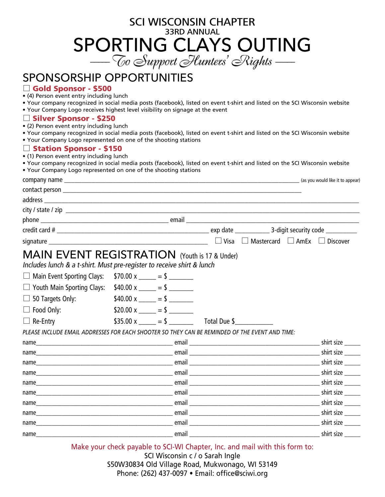## SCI WISCONSIN CHAPTER 33RD ANNUAL SPORTING CLAYS OUTING *----- To Support Hunters' Rights -----*

## SPONSORSHIP OPPORTUNITIES

#### $\Box$  Gold Sponsor - \$500

- (4) Person event entry including lunch
- Your company recognized in social media posts (facebook), listed on event t-shirt and listed on the SCI Wisconsin website
- Your Company Logo receives highest level visibility on signage at the event

#### $\Box$  Silver Sponsor - \$250

- (2) Person event entry including lunch
- Your company recognized in social media posts (facebook), listed on event t-shirt and listed on the SCI Wisconsin website
- Your Company Logo represented on one of the shooting stations

#### $\Box$  Station Sponsor - \$150

- (1) Person event entry including lunch
- Your company recognized in social media posts (facebook), listed on event t-shirt and listed on the SCI Wisconsin website
- Your Company Logo represented on one of the shooting stations

| COMPANY NAME (as you would like it to appear)                                                                                  |  |                             |              |                                                           |  |            |  |
|--------------------------------------------------------------------------------------------------------------------------------|--|-----------------------------|--------------|-----------------------------------------------------------|--|------------|--|
|                                                                                                                                |  |                             |              |                                                           |  |            |  |
|                                                                                                                                |  |                             |              |                                                           |  |            |  |
|                                                                                                                                |  |                             |              |                                                           |  |            |  |
|                                                                                                                                |  |                             |              |                                                           |  |            |  |
|                                                                                                                                |  |                             |              |                                                           |  |            |  |
|                                                                                                                                |  |                             |              | $\Box$ Visa $\Box$ Mastercard $\Box$ AmEx $\Box$ Discover |  |            |  |
| <b>MAIN EVENT REGISTRATION</b> (Youth is 17 & Under)<br>Includes lunch & a t-shirt. Must pre-register to receive shirt & lunch |  |                             |              |                                                           |  |            |  |
| □ Main Event Sporting Clays: $$70.00 \times$ _____ = \$ _______                                                                |  |                             |              |                                                           |  |            |  |
| $\Box$ Youth Main Sporting Clays:                                                                                              |  | $$40.00 \times \_ = $$      |              |                                                           |  |            |  |
| $\Box$ 50 Targets Only:                                                                                                        |  | $$40.00 \times = $$         |              |                                                           |  |            |  |
| $\Box$ Food Only:                                                                                                              |  | \$20.00 x _____ = \$ ______ |              |                                                           |  |            |  |
| $\Box$ Re-Entry                                                                                                                |  | $$35.00 \text{ x} = $$      | Total Due \$ |                                                           |  |            |  |
| PLEASE INCLUDE EMAIL ADDRESSES FOR EACH SHOOTER SO THEY CAN BE REMINDED OF THE EVENT AND TIME:                                 |  |                             |              |                                                           |  |            |  |
|                                                                                                                                |  |                             |              |                                                           |  | shirt size |  |
|                                                                                                                                |  |                             |              |                                                           |  | shirt size |  |
|                                                                                                                                |  |                             |              |                                                           |  | shirt size |  |
|                                                                                                                                |  |                             |              |                                                           |  | shirt size |  |
|                                                                                                                                |  |                             |              |                                                           |  | shirt size |  |
|                                                                                                                                |  |                             |              |                                                           |  | shirt size |  |
|                                                                                                                                |  |                             |              |                                                           |  | shirt size |  |
|                                                                                                                                |  |                             |              |                                                           |  | shirt size |  |
|                                                                                                                                |  |                             |              |                                                           |  | shirt size |  |
| name                                                                                                                           |  | email                       |              |                                                           |  | shirt size |  |

Make your check payable to SCI-WI Chapter, Inc. and mail with this form to:

SCI Wisconsin c / o Sarah Ingle S50W30834 Old Village Road, Mukwonago, WI 53149 Phone: (262) 437-0097 • Email: office@sciwi.org